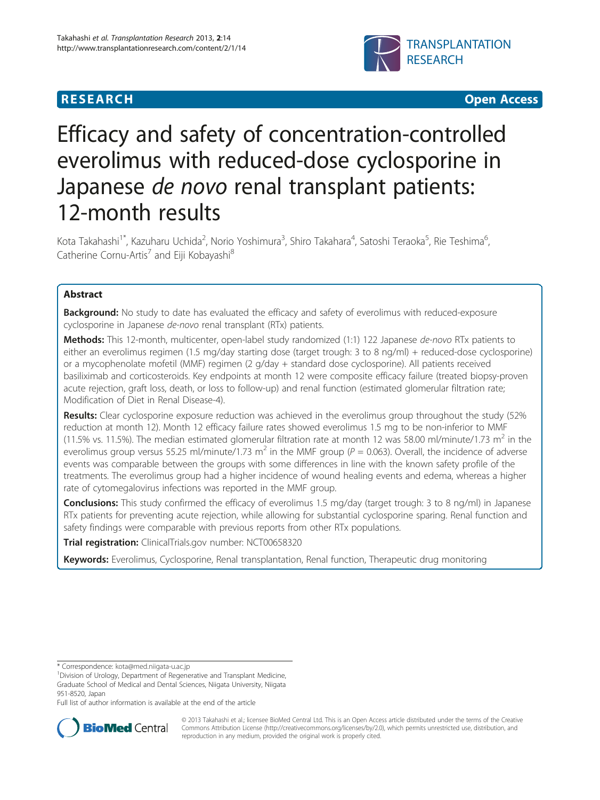## **RESEARCH CHEAR CHEAR CHEAR CHEAR CHEAR CHEAR CHEAR CHEAR CHEAR CHEAR CHEAR CHEAR CHEAR CHEAR CHEAR CHEAR CHEAR**



# Efficacy and safety of concentration-controlled everolimus with reduced-dose cyclosporine in Japanese de novo renal transplant patients: 12-month results

Kota Takahashi<sup>1\*</sup>, Kazuharu Uchida<sup>2</sup>, Norio Yoshimura<sup>3</sup>, Shiro Takahara<sup>4</sup>, Satoshi Teraoka<sup>5</sup>, Rie Teshima<sup>6</sup> , Catherine Cornu-Artis<sup>7</sup> and Eiji Kobayashi<sup>8</sup>

## Abstract

Background: No study to date has evaluated the efficacy and safety of everolimus with reduced-exposure cyclosporine in Japanese de-novo renal transplant (RTx) patients.

Methods: This 12-month, multicenter, open-label study randomized (1:1) 122 Japanese de-novo RTx patients to either an everolimus regimen (1.5 mg/day starting dose (target trough: 3 to 8 ng/ml) + reduced-dose cyclosporine) or a mycophenolate mofetil (MMF) regimen (2 g/day + standard dose cyclosporine). All patients received basiliximab and corticosteroids. Key endpoints at month 12 were composite efficacy failure (treated biopsy-proven acute rejection, graft loss, death, or loss to follow-up) and renal function (estimated glomerular filtration rate; Modification of Diet in Renal Disease-4).

Results: Clear cyclosporine exposure reduction was achieved in the everolimus group throughout the study (52% reduction at month 12). Month 12 efficacy failure rates showed everolimus 1.5 mg to be non-inferior to MMF (11.5% vs. 11.5%). The median estimated glomerular filtration rate at month 12 was 58.00 ml/minute/1.73 m<sup>2</sup> in the everolimus group versus 55.25 ml/minute/1.73 m<sup>2</sup> in the MMF group ( $P = 0.063$ ). Overall, the incidence of adverse events was comparable between the groups with some differences in line with the known safety profile of the treatments. The everolimus group had a higher incidence of wound healing events and edema, whereas a higher rate of cytomegalovirus infections was reported in the MMF group.

**Conclusions:** This study confirmed the efficacy of everolimus 1.5 mg/day (target trough: 3 to 8 ng/ml) in Japanese RTx patients for preventing acute rejection, while allowing for substantial cyclosporine sparing. Renal function and safety findings were comparable with previous reports from other RTx populations.

**Trial registration:** ClinicalTrials.gov number: [NCT00658320](http://clinicaltrials.gov/ct2/show/NCT00658320?term=NCT00658320&rank=1)

Keywords: Everolimus, Cyclosporine, Renal transplantation, Renal function, Therapeutic drug monitoring

\* Correspondence: [kota@med.niigata-u.ac.jp](mailto:kota@med.niigata-u.ac.jp) <sup>1</sup>

Full list of author information is available at the end of the article



© 2013 Takahashi et al.; licensee BioMed Central Ltd. This is an Open Access article distributed under the terms of the Creative Commons Attribution License [\(http://creativecommons.org/licenses/by/2.0\)](http://creativecommons.org/licenses/by/2.0), which permits unrestricted use, distribution, and reproduction in any medium, provided the original work is properly cited.

Division of Urology, Department of Regenerative and Transplant Medicine, Graduate School of Medical and Dental Sciences, Niigata University, Niigata 951-8520, Japan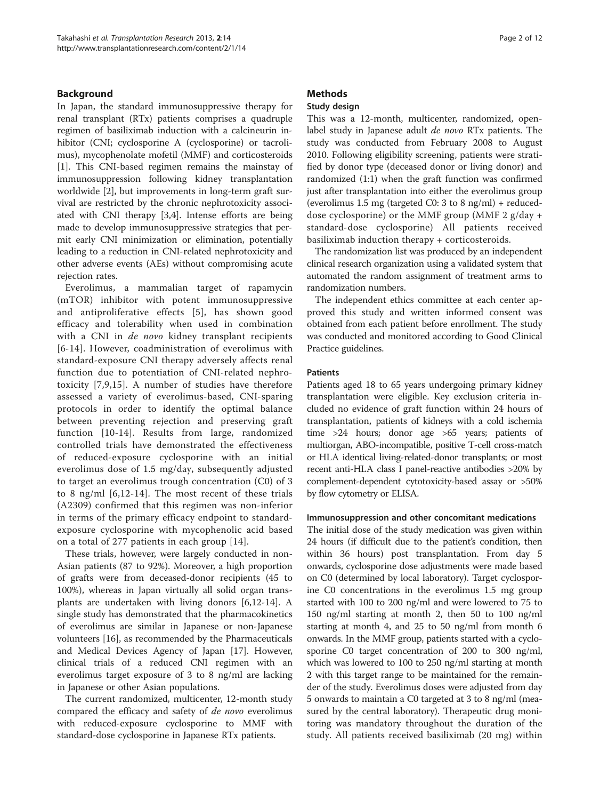## Background

In Japan, the standard immunosuppressive therapy for renal transplant (RTx) patients comprises a quadruple regimen of basiliximab induction with a calcineurin inhibitor (CNI; cyclosporine A (cyclosporine) or tacrolimus), mycophenolate mofetil (MMF) and corticosteroids [[1\]](#page-10-0). This CNI-based regimen remains the mainstay of immunosuppression following kidney transplantation worldwide [\[2](#page-10-0)], but improvements in long-term graft survival are restricted by the chronic nephrotoxicity associated with CNI therapy [[3,4\]](#page-10-0). Intense efforts are being made to develop immunosuppressive strategies that permit early CNI minimization or elimination, potentially leading to a reduction in CNI-related nephrotoxicity and other adverse events (AEs) without compromising acute rejection rates.

Everolimus, a mammalian target of rapamycin (mTOR) inhibitor with potent immunosuppressive and antiproliferative effects [[5](#page-10-0)], has shown good efficacy and tolerability when used in combination with a CNI in *de novo* kidney transplant recipients [[6](#page-10-0)-[14](#page-10-0)]. However, coadministration of everolimus with standard-exposure CNI therapy adversely affects renal function due to potentiation of CNI-related nephrotoxicity [\[7](#page-10-0),[9,15](#page-10-0)]. A number of studies have therefore assessed a variety of everolimus-based, CNI-sparing protocols in order to identify the optimal balance between preventing rejection and preserving graft function [[10](#page-10-0)-[14](#page-10-0)]. Results from large, randomized controlled trials have demonstrated the effectiveness of reduced-exposure cyclosporine with an initial everolimus dose of 1.5 mg/day, subsequently adjusted to target an everolimus trough concentration (C0) of 3 to 8 ng/ml [[6,12-14](#page-10-0)]. The most recent of these trials (A2309) confirmed that this regimen was non-inferior in terms of the primary efficacy endpoint to standardexposure cyclosporine with mycophenolic acid based on a total of 277 patients in each group [\[14\]](#page-10-0).

These trials, however, were largely conducted in non-Asian patients (87 to 92%). Moreover, a high proportion of grafts were from deceased-donor recipients (45 to 100%), whereas in Japan virtually all solid organ transplants are undertaken with living donors [[6,12-14](#page-10-0)]. A single study has demonstrated that the pharmacokinetics of everolimus are similar in Japanese or non-Japanese volunteers [\[16\]](#page-10-0), as recommended by the Pharmaceuticals and Medical Devices Agency of Japan [[17\]](#page-10-0). However, clinical trials of a reduced CNI regimen with an everolimus target exposure of 3 to 8 ng/ml are lacking in Japanese or other Asian populations.

The current randomized, multicenter, 12-month study compared the efficacy and safety of de novo everolimus with reduced-exposure cyclosporine to MMF with standard-dose cyclosporine in Japanese RTx patients.

## **Methods**

#### Study design

This was a 12-month, multicenter, randomized, openlabel study in Japanese adult de novo RTx patients. The study was conducted from February 2008 to August 2010. Following eligibility screening, patients were stratified by donor type (deceased donor or living donor) and randomized (1:1) when the graft function was confirmed just after transplantation into either the everolimus group (everolimus 1.5 mg (targeted C0: 3 to 8 ng/ml) + reduceddose cyclosporine) or the MMF group (MMF 2  $g/day +$ standard-dose cyclosporine) All patients received basiliximab induction therapy + corticosteroids.

The randomization list was produced by an independent clinical research organization using a validated system that automated the random assignment of treatment arms to randomization numbers.

The independent ethics committee at each center approved this study and written informed consent was obtained from each patient before enrollment. The study was conducted and monitored according to Good Clinical Practice guidelines.

#### **Patients**

Patients aged 18 to 65 years undergoing primary kidney transplantation were eligible. Key exclusion criteria included no evidence of graft function within 24 hours of transplantation, patients of kidneys with a cold ischemia time >24 hours; donor age >65 years; patients of multiorgan, ABO-incompatible, positive T-cell cross-match or HLA identical living-related-donor transplants; or most recent anti-HLA class I panel-reactive antibodies >20% by complement-dependent cytotoxicity-based assay or >50% by flow cytometry or ELISA.

#### Immunosuppression and other concomitant medications

The initial dose of the study medication was given within 24 hours (if difficult due to the patient's condition, then within 36 hours) post transplantation. From day 5 onwards, cyclosporine dose adjustments were made based on C0 (determined by local laboratory). Target cyclosporine C0 concentrations in the everolimus 1.5 mg group started with 100 to 200 ng/ml and were lowered to 75 to 150 ng/ml starting at month 2, then 50 to 100 ng/ml starting at month 4, and 25 to 50 ng/ml from month 6 onwards. In the MMF group, patients started with a cyclosporine C0 target concentration of 200 to 300 ng/ml, which was lowered to 100 to 250 ng/ml starting at month 2 with this target range to be maintained for the remainder of the study. Everolimus doses were adjusted from day 5 onwards to maintain a C0 targeted at 3 to 8 ng/ml (measured by the central laboratory). Therapeutic drug monitoring was mandatory throughout the duration of the study. All patients received basiliximab (20 mg) within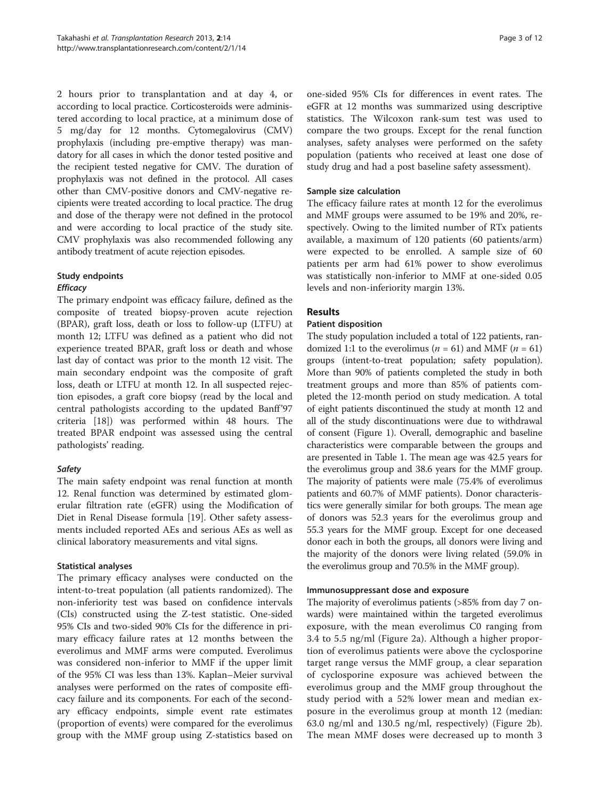2 hours prior to transplantation and at day 4, or according to local practice. Corticosteroids were administered according to local practice, at a minimum dose of 5 mg/day for 12 months. Cytomegalovirus (CMV) prophylaxis (including pre-emptive therapy) was mandatory for all cases in which the donor tested positive and the recipient tested negative for CMV. The duration of prophylaxis was not defined in the protocol. All cases other than CMV-positive donors and CMV-negative recipients were treated according to local practice. The drug and dose of the therapy were not defined in the protocol and were according to local practice of the study site. CMV prophylaxis was also recommended following any antibody treatment of acute rejection episodes.

## Study endpoints

## **Efficacy**

The primary endpoint was efficacy failure, defined as the composite of treated biopsy-proven acute rejection (BPAR), graft loss, death or loss to follow-up (LTFU) at month 12; LTFU was defined as a patient who did not experience treated BPAR, graft loss or death and whose last day of contact was prior to the month 12 visit. The main secondary endpoint was the composite of graft loss, death or LTFU at month 12. In all suspected rejection episodes, a graft core biopsy (read by the local and central pathologists according to the updated Banff'97 criteria [[18\]](#page-10-0)) was performed within 48 hours. The treated BPAR endpoint was assessed using the central pathologists' reading.

## Safety

The main safety endpoint was renal function at month 12. Renal function was determined by estimated glomerular filtration rate (eGFR) using the Modification of Diet in Renal Disease formula [\[19](#page-11-0)]. Other safety assessments included reported AEs and serious AEs as well as clinical laboratory measurements and vital signs.

## Statistical analyses

The primary efficacy analyses were conducted on the intent-to-treat population (all patients randomized). The non-inferiority test was based on confidence intervals (CIs) constructed using the Z-test statistic. One-sided 95% CIs and two-sided 90% CIs for the difference in primary efficacy failure rates at 12 months between the everolimus and MMF arms were computed. Everolimus was considered non-inferior to MMF if the upper limit of the 95% CI was less than 13%. Kaplan–Meier survival analyses were performed on the rates of composite efficacy failure and its components. For each of the secondary efficacy endpoints, simple event rate estimates (proportion of events) were compared for the everolimus group with the MMF group using Z-statistics based on

one-sided 95% CIs for differences in event rates. The eGFR at 12 months was summarized using descriptive statistics. The Wilcoxon rank-sum test was used to compare the two groups. Except for the renal function analyses, safety analyses were performed on the safety population (patients who received at least one dose of study drug and had a post baseline safety assessment).

#### Sample size calculation

The efficacy failure rates at month 12 for the everolimus and MMF groups were assumed to be 19% and 20%, respectively. Owing to the limited number of RTx patients available, a maximum of 120 patients (60 patients/arm) were expected to be enrolled. A sample size of 60 patients per arm had 61% power to show everolimus was statistically non-inferior to MMF at one-sided 0.05 levels and non-inferiority margin 13%.

## Results

#### Patient disposition

The study population included a total of 122 patients, randomized 1:1 to the everolimus ( $n = 61$ ) and MMF ( $n = 61$ ) groups (intent-to-treat population; safety population). More than 90% of patients completed the study in both treatment groups and more than 85% of patients completed the 12-month period on study medication. A total of eight patients discontinued the study at month 12 and all of the study discontinuations were due to withdrawal of consent (Figure [1](#page-3-0)). Overall, demographic and baseline characteristics were comparable between the groups and are presented in Table [1.](#page-4-0) The mean age was 42.5 years for the everolimus group and 38.6 years for the MMF group. The majority of patients were male (75.4% of everolimus patients and 60.7% of MMF patients). Donor characteristics were generally similar for both groups. The mean age of donors was 52.3 years for the everolimus group and 55.3 years for the MMF group. Except for one deceased donor each in both the groups, all donors were living and the majority of the donors were living related (59.0% in the everolimus group and 70.5% in the MMF group).

#### Immunosuppressant dose and exposure

The majority of everolimus patients (>85% from day 7 onwards) were maintained within the targeted everolimus exposure, with the mean everolimus C0 ranging from 3.4 to 5.5 ng/ml (Figure [2](#page-5-0)a). Although a higher proportion of everolimus patients were above the cyclosporine target range versus the MMF group, a clear separation of cyclosporine exposure was achieved between the everolimus group and the MMF group throughout the study period with a 52% lower mean and median exposure in the everolimus group at month 12 (median: 63.0 ng/ml and 130.5 ng/ml, respectively) (Figure [2b](#page-5-0)). The mean MMF doses were decreased up to month 3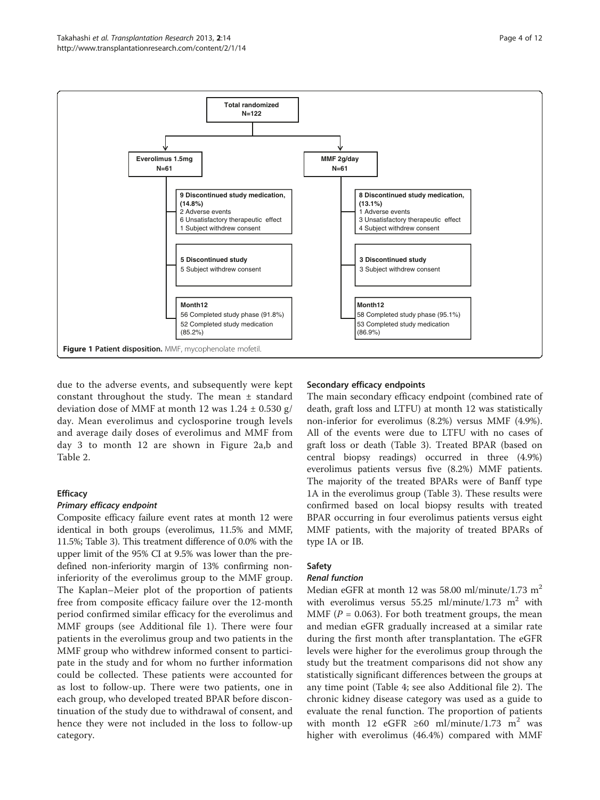<span id="page-3-0"></span>

due to the adverse events, and subsequently were kept constant throughout the study. The mean ± standard deviation dose of MMF at month 12 was  $1.24 \pm 0.530$  g/ day. Mean everolimus and cyclosporine trough levels and average daily doses of everolimus and MMF from day 3 to month 12 are shown in Figure [2a](#page-5-0),b and Table [2](#page-6-0).

## **Efficacy**

## Primary efficacy endpoint

Composite efficacy failure event rates at month 12 were identical in both groups (everolimus, 11.5% and MMF, 11.5%; Table [3\)](#page-6-0). This treatment difference of 0.0% with the upper limit of the 95% CI at 9.5% was lower than the predefined non-inferiority margin of 13% confirming noninferiority of the everolimus group to the MMF group. The Kaplan–Meier plot of the proportion of patients free from composite efficacy failure over the 12-month period confirmed similar efficacy for the everolimus and MMF groups (see Additional file [1\)](#page-9-0). There were four patients in the everolimus group and two patients in the MMF group who withdrew informed consent to participate in the study and for whom no further information could be collected. These patients were accounted for as lost to follow-up. There were two patients, one in each group, who developed treated BPAR before discontinuation of the study due to withdrawal of consent, and hence they were not included in the loss to follow-up category.

## Secondary efficacy endpoints

The main secondary efficacy endpoint (combined rate of death, graft loss and LTFU) at month 12 was statistically non-inferior for everolimus (8.2%) versus MMF (4.9%). All of the events were due to LTFU with no cases of graft loss or death (Table [3\)](#page-6-0). Treated BPAR (based on central biopsy readings) occurred in three (4.9%) everolimus patients versus five (8.2%) MMF patients. The majority of the treated BPARs were of Banff type 1A in the everolimus group (Table [3\)](#page-6-0). These results were confirmed based on local biopsy results with treated BPAR occurring in four everolimus patients versus eight MMF patients, with the majority of treated BPARs of type IA or IB.

## Safety

## Renal function

Median eGFR at month 12 was 58.00 ml/minute/1.73  $m<sup>2</sup>$ with everolimus versus  $55.25$  ml/minute/1.73 m<sup>2</sup> with MMF ( $P = 0.063$ ). For both treatment groups, the mean and median eGFR gradually increased at a similar rate during the first month after transplantation. The eGFR levels were higher for the everolimus group through the study but the treatment comparisons did not show any statistically significant differences between the groups at any time point (Table [4;](#page-7-0) see also Additional file [2](#page-9-0)). The chronic kidney disease category was used as a guide to evaluate the renal function. The proportion of patients with month 12 eGFR  $\geq 60$  ml/minute/1.73 m<sup>2</sup> was higher with everolimus (46.4%) compared with MMF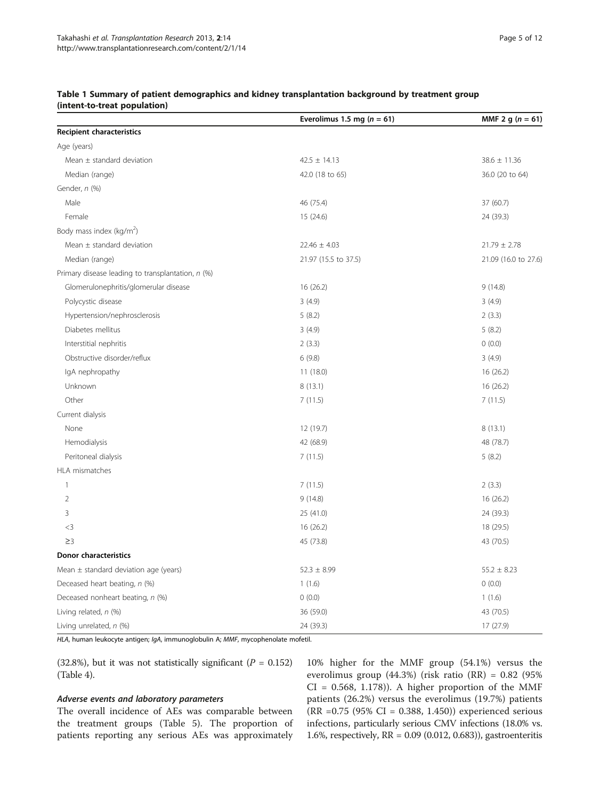|                                                   | Everolimus 1.5 mg ( $n = 61$ ) | MMF 2 g $(n = 61)$   |
|---------------------------------------------------|--------------------------------|----------------------|
| <b>Recipient characteristics</b>                  |                                |                      |
| Age (years)                                       |                                |                      |
| Mean $\pm$ standard deviation                     | $42.5 \pm 14.13$               | $38.6 \pm 11.36$     |
| Median (range)                                    | 42.0 (18 to 65)                | 36.0 (20 to 64)      |
| Gender, n (%)                                     |                                |                      |
| Male                                              | 46 (75.4)                      | 37 (60.7)            |
| Female                                            | 15 (24.6)                      | 24 (39.3)            |
| Body mass index (kg/m <sup>2</sup> )              |                                |                      |
| Mean $\pm$ standard deviation                     | $22.46 \pm 4.03$               | $21.79 \pm 2.78$     |
| Median (range)                                    | 21.97 (15.5 to 37.5)           | 21.09 (16.0 to 27.6) |
| Primary disease leading to transplantation, n (%) |                                |                      |
| Glomerulonephritis/glomerular disease             | 16(26.2)                       | 9(14.8)              |
| Polycystic disease                                | 3(4.9)                         | 3(4.9)               |
| Hypertension/nephrosclerosis                      | 5(8.2)                         | 2(3.3)               |
| Diabetes mellitus                                 | 3(4.9)                         | 5(8.2)               |
| Interstitial nephritis                            | 2(3.3)                         | 0(0.0)               |
| Obstructive disorder/reflux                       | 6(9.8)                         | 3(4.9)               |
| IgA nephropathy                                   | 11(18.0)                       | 16(26.2)             |
| Unknown                                           | 8(13.1)                        | 16(26.2)             |
| Other                                             | 7(11.5)                        | 7(11.5)              |
| Current dialysis                                  |                                |                      |
| None                                              | 12 (19.7)                      | 8(13.1)              |
| Hemodialysis                                      | 42 (68.9)                      | 48 (78.7)            |
| Peritoneal dialysis                               | 7(11.5)                        | 5(8.2)               |
| HLA mismatches                                    |                                |                      |
| $\mathbf{1}$                                      | 7(11.5)                        | 2(3.3)               |
| $\overline{2}$                                    | 9(14.8)                        | 16(26.2)             |
| $\overline{3}$                                    | 25 (41.0)                      | 24 (39.3)            |
| $<$ 3                                             | 16(26.2)                       | 18 (29.5)            |
| $\geq$ 3                                          | 45 (73.8)                      | 43 (70.5)            |
| <b>Donor characteristics</b>                      |                                |                      |
| Mean $\pm$ standard deviation age (years)         | $52.3 \pm 8.99$                | $55.2 \pm 8.23$      |
| Deceased heart beating, n (%)                     | 1(1.6)                         | 0(0.0)               |
| Deceased nonheart beating, n (%)                  | 0(0.0)                         | 1(1.6)               |
| Living related, n (%)                             | 36 (59.0)                      | 43 (70.5)            |
| Living unrelated, n (%)                           | 24 (39.3)                      | 17 (27.9)            |

#### <span id="page-4-0"></span>Table 1 Summary of patient demographics and kidney transplantation background by treatment group (intent-to-treat population)

HLA, human leukocyte antigen; IgA, immunoglobulin A; MMF, mycophenolate mofetil.

(32.8%), but it was not statistically significant ( $P = 0.152$ ) (Table [4\)](#page-7-0).

#### Adverse events and laboratory parameters

The overall incidence of AEs was comparable between the treatment groups (Table [5\)](#page-8-0). The proportion of patients reporting any serious AEs was approximately

10% higher for the MMF group (54.1%) versus the everolimus group (44.3%) (risk ratio (RR) = 0.82 (95%  $CI = 0.568, 1.178$ ). A higher proportion of the MMF patients (26.2%) versus the everolimus (19.7%) patients (RR =0.75 (95% CI = 0.388, 1.450)) experienced serious infections, particularly serious CMV infections (18.0% vs. 1.6%, respectively, RR = 0.09 (0.012, 0.683)), gastroenteritis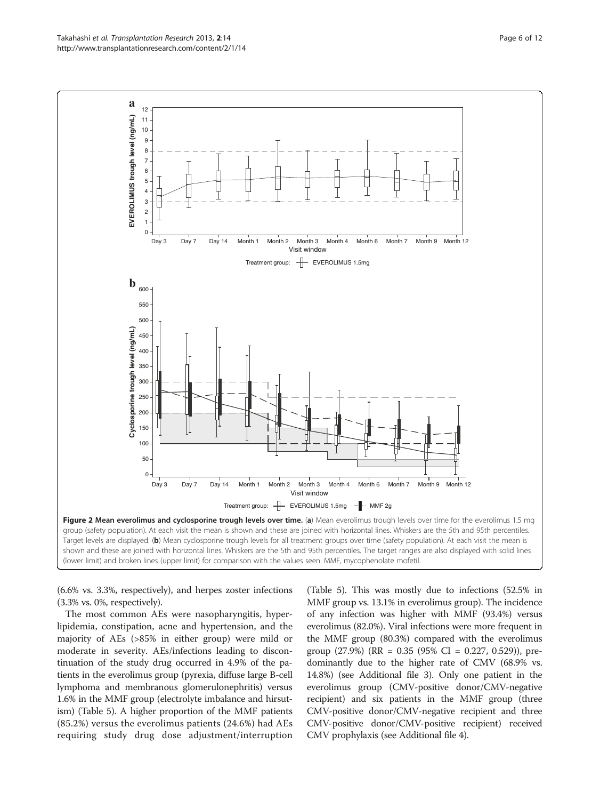<span id="page-5-0"></span>

(6.6% vs. 3.3%, respectively), and herpes zoster infections (3.3% vs. 0%, respectively).

The most common AEs were nasopharyngitis, hyperlipidemia, constipation, acne and hypertension, and the majority of AEs (>85% in either group) were mild or moderate in severity. AEs/infections leading to discontinuation of the study drug occurred in 4.9% of the patients in the everolimus group (pyrexia, diffuse large B-cell lymphoma and membranous glomerulonephritis) versus 1.6% in the MMF group (electrolyte imbalance and hirsutism) (Table [5\)](#page-8-0). A higher proportion of the MMF patients (85.2%) versus the everolimus patients (24.6%) had AEs requiring study drug dose adjustment/interruption

(Table [5](#page-8-0)). This was mostly due to infections (52.5% in MMF group vs. 13.1% in everolimus group). The incidence of any infection was higher with MMF (93.4%) versus everolimus (82.0%). Viral infections were more frequent in the MMF group (80.3%) compared with the everolimus group (27.9%) (RR = 0.35 (95% CI = 0.227, 0.529)), predominantly due to the higher rate of CMV (68.9% vs. 14.8%) (see Additional file [3\)](#page-9-0). Only one patient in the everolimus group (CMV-positive donor/CMV-negative recipient) and six patients in the MMF group (three CMV-positive donor/CMV-negative recipient and three CMV-positive donor/CMV-positive recipient) received CMV prophylaxis (see Additional file [4](#page-9-0)).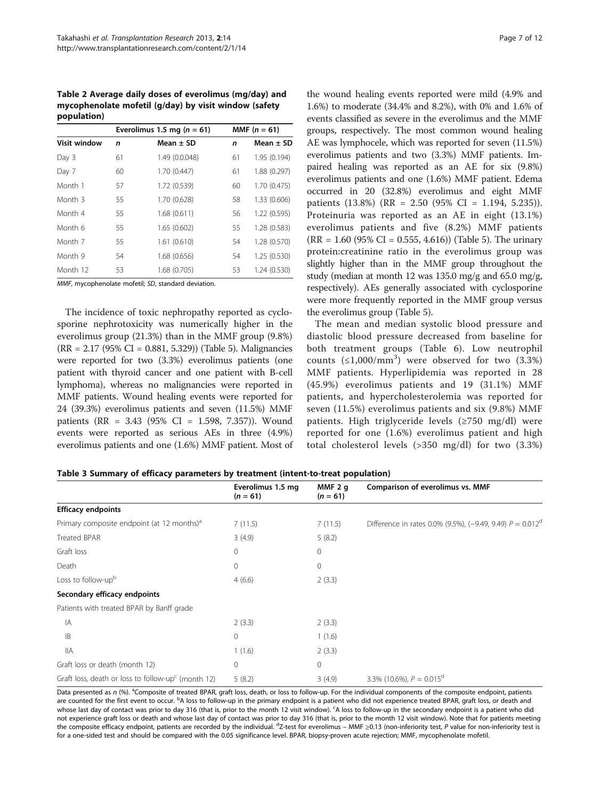<span id="page-6-0"></span>Table 2 Average daily doses of everolimus (mg/day) and mycophenolate mofetil (g/day) by visit window (safety population)

|                     |    | Everolimus 1.5 mg ( $n = 61$ ) | <b>MMF</b> $(n = 61)$ |               |  |
|---------------------|----|--------------------------------|-----------------------|---------------|--|
| <b>Visit window</b> | n  | Mean ± SD                      | n                     | Mean $\pm$ SD |  |
| Day 3               | 61 | 1.49 (0.0.048)                 | 61                    | 1.95 (0.194)  |  |
| Day 7               | 60 | 1.70 (0.447)                   | 61                    | 1.88 (0.297)  |  |
| Month 1             | 57 | 1.72 (0.539)                   | 60                    | 1.70 (0.475)  |  |
| Month 3             | 55 | 1.70 (0.628)                   | 58                    | 1.33 (0.606)  |  |
| Month 4             | 55 | 1.68(0.611)                    | 56                    | 1.22 (0.595)  |  |
| Month 6             | 55 | 1.65(0.602)                    | 55                    | 1.28 (0.583)  |  |
| Month 7             | 55 | 1.61(0.610)                    | 54                    | 1.28 (0.570)  |  |
| Month 9             | 54 | 1.68 (0.656)                   | 54                    | 1.25 (0.530)  |  |
| Month 12            | 53 | 1.68 (0.705)                   | 53                    | 1.24 (0.530)  |  |

MMF, mycophenolate mofetil; SD, standard deviation.

The incidence of toxic nephropathy reported as cyclosporine nephrotoxicity was numerically higher in the everolimus group (21.3%) than in the MMF group (9.8%) (RR = 2.17 (95% CI = 0.881, 5.329)) (Table [5](#page-8-0)). Malignancies were reported for two (3.3%) everolimus patients (one patient with thyroid cancer and one patient with B-cell lymphoma), whereas no malignancies were reported in MMF patients. Wound healing events were reported for 24 (39.3%) everolimus patients and seven (11.5%) MMF patients (RR = 3.43 (95% CI = 1.598, 7.357)). Wound events were reported as serious AEs in three (4.9%) everolimus patients and one (1.6%) MMF patient. Most of

the wound healing events reported were mild (4.9% and 1.6%) to moderate (34.4% and 8.2%), with 0% and 1.6% of events classified as severe in the everolimus and the MMF groups, respectively. The most common wound healing AE was lymphocele, which was reported for seven (11.5%) everolimus patients and two (3.3%) MMF patients. Impaired healing was reported as an AE for six (9.8%) everolimus patients and one (1.6%) MMF patient. Edema occurred in 20 (32.8%) everolimus and eight MMF patients (13.8%) (RR = 2.50 (95% CI = 1.194, 5.235)). Proteinuria was reported as an AE in eight (13.1%) everolimus patients and five (8.2%) MMF patients  $(RR = 1.60 (95\% CI = 0.555, 4.616))$  (Table [5](#page-8-0)). The urinary protein:creatinine ratio in the everolimus group was slightly higher than in the MMF group throughout the study (median at month 12 was 135.0 mg/g and 65.0 mg/g, respectively). AEs generally associated with cyclosporine were more frequently reported in the MMF group versus the everolimus group (Table [5\)](#page-8-0).

The mean and median systolic blood pressure and diastolic blood pressure decreased from baseline for both treatment groups (Table [6\)](#page-9-0). Low neutrophil counts  $(\leq1,000/\text{mm}^3)$  were observed for two  $(3.3\%)$ MMF patients. Hyperlipidemia was reported in 28 (45.9%) everolimus patients and 19 (31.1%) MMF patients, and hypercholesterolemia was reported for seven (11.5%) everolimus patients and six (9.8%) MMF patients. High triglyceride levels (≥750 mg/dl) were reported for one (1.6%) everolimus patient and high total cholesterol levels (>350 mg/dl) for two (3.3%)

|  |  |  | Table 3 Summary of efficacy parameters by treatment (intent-to-treat population) |  |
|--|--|--|----------------------------------------------------------------------------------|--|
|--|--|--|----------------------------------------------------------------------------------|--|

|                                                                | Everolimus 1.5 mg<br>$(n = 61)$ | MMF 2 g<br>$(n = 61)$ | Comparison of everolimus vs. MMF                             |
|----------------------------------------------------------------|---------------------------------|-----------------------|--------------------------------------------------------------|
| <b>Efficacy endpoints</b>                                      |                                 |                       |                                                              |
| Primary composite endpoint (at 12 months) <sup>a</sup>         | 7(11.5)                         | 7(11.5)               | Difference in rates 0.0% (9.5%), (-9.49, 9.49) $P = 0.012^d$ |
| Treated BPAR                                                   | 3(4.9)                          | 5(8.2)                |                                                              |
| Graft loss                                                     | 0                               | $\mathbf{0}$          |                                                              |
| Death                                                          | 0                               | $\mathbf 0$           |                                                              |
| Loss to follow-upb                                             | 4(6.6)                          | 2(3.3)                |                                                              |
| Secondary efficacy endpoints                                   |                                 |                       |                                                              |
| Patients with treated BPAR by Banff grade                      |                                 |                       |                                                              |
| ΙA                                                             | 2(3.3)                          | 2(3.3)                |                                                              |
| B                                                              | 0                               | 1(1.6)                |                                                              |
| <b>IIA</b>                                                     | 1(1.6)                          | 2(3.3)                |                                                              |
| Graft loss or death (month 12)                                 | 0                               | $\mathbf 0$           |                                                              |
| Graft loss, death or loss to follow-up <sup>c</sup> (month 12) | 5(8.2)                          | 3(4.9)                | 3.3% (10.6%), $P = 0.015^d$                                  |

Data presented as n (%). <sup>a</sup>Composite of treated BPAR, graft loss, death, or loss to follow-up. For the individual components of the composite endpoint, patients are counted for the first event to occur. <sup>b</sup>A loss to follow-up in the primary endpoint is a patient who did not experience treated BPAR, graft loss, or death and whose last day of contact was prior to day 316 (that is, prior to the month 12 visit window). <sup>c</sup>A loss to follow-up in the secondary endpoint is a patient who did not experience graft loss or death and whose last day of contact was prior to day 316 (that is, prior to the month 12 visit window). Note that for patients meeting the composite efficacy endpoint, patients are recorded by the individual. <sup>d</sup>Z-test for everolimus – MMF ≥0.13 (non-inferiority test, P value for non-inferiority test is for a one-sided test and should be compared with the 0.05 significance level. BPAR, biopsy-proven acute rejection; MMF, mycophenolate mofetil.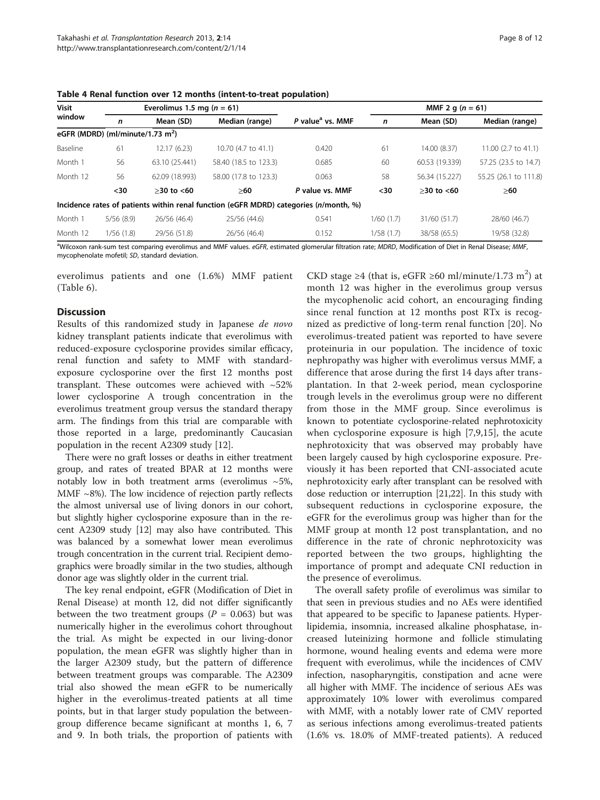| Visit       |                                              | Everolimus 1.5 mg ( $n = 61$ ) |                                                                                       | MMF 2 g $(n = 61)$           |           |                 |                       |
|-------------|----------------------------------------------|--------------------------------|---------------------------------------------------------------------------------------|------------------------------|-----------|-----------------|-----------------------|
| window<br>n |                                              | Mean (SD)<br>Median (range)    |                                                                                       | P value <sup>a</sup> vs. MMF | n         | Mean (SD)       | Median (range)        |
|             | eGFR (MDRD) (ml/minute/1.73 m <sup>2</sup> ) |                                |                                                                                       |                              |           |                 |                       |
| Baseline    | 61                                           | 12.17 (6.23)                   | 10.70 (4.7 to 41.1)                                                                   | 0.420                        | 61        | 14.00 (8.37)    | 11.00 (2.7 to 41.1)   |
| Month 1     | 56                                           | 63.10 (25.441)                 | 58.40 (18.5 to 123.3)                                                                 | 0.685                        | 60        | 60.53 (19.339)  | 57.25 (23.5 to 14.7)  |
| Month 12    | 56                                           | 62.09 (18.993)                 | 58.00 (17.8 to 123.3)                                                                 | 0.063                        | 58        | 56.34 (15.227)  | 55.25 (26.1 to 111.8) |
|             | $30$                                         | $>30$ to $< 60$                | >60                                                                                   | P value vs. MMF              | $30$      | $>30$ to $< 60$ | ≥60                   |
|             |                                              |                                | Incidence rates of patients within renal function (eGFR MDRD) categories (n/month, %) |                              |           |                 |                       |
| Month 1     | 5/56(8.9)                                    | 26/56 (46.4)                   | 25/56 (44.6)                                                                          | 0.541                        | 1/60(1.7) | 31/60 (51.7)    | 28/60 (46.7)          |
| Month 12    | 1/56(1.8)                                    | 29/56 (51.8)                   | 26/56 (46.4)                                                                          | 0.152                        | 1/58(1.7) | 38/58 (65.5)    | 19/58 (32.8)          |

<span id="page-7-0"></span>Table 4 Renal function over 12 months (intent-to-treat population)

<sup>a</sup>Wilcoxon rank-sum test comparing everolimus and MMF values. eGFR, estimated glomerular filtration rate; MDRD, Modification of Diet in Renal Disease; MMF, mycophenolate mofetil; SD, standard deviation.

everolimus patients and one (1.6%) MMF patient (Table [6\)](#page-9-0).

#### **Discussion**

Results of this randomized study in Japanese de novo kidney transplant patients indicate that everolimus with reduced-exposure cyclosporine provides similar efficacy, renal function and safety to MMF with standardexposure cyclosporine over the first 12 months post transplant. These outcomes were achieved with ~52% lower cyclosporine A trough concentration in the everolimus treatment group versus the standard therapy arm. The findings from this trial are comparable with those reported in a large, predominantly Caucasian population in the recent A2309 study [\[12](#page-10-0)].

There were no graft losses or deaths in either treatment group, and rates of treated BPAR at 12 months were notably low in both treatment arms (everolimus  $\sim$  5%, MMF  $~\sim$ 8%). The low incidence of rejection partly reflects the almost universal use of living donors in our cohort, but slightly higher cyclosporine exposure than in the recent A2309 study [\[12\]](#page-10-0) may also have contributed. This was balanced by a somewhat lower mean everolimus trough concentration in the current trial. Recipient demographics were broadly similar in the two studies, although donor age was slightly older in the current trial.

The key renal endpoint, eGFR (Modification of Diet in Renal Disease) at month 12, did not differ significantly between the two treatment groups ( $P = 0.063$ ) but was numerically higher in the everolimus cohort throughout the trial. As might be expected in our living-donor population, the mean eGFR was slightly higher than in the larger A2309 study, but the pattern of difference between treatment groups was comparable. The A2309 trial also showed the mean eGFR to be numerically higher in the everolimus-treated patients at all time points, but in that larger study population the betweengroup difference became significant at months 1, 6, 7 and 9. In both trials, the proportion of patients with

CKD stage  $\geq$ 4 (that is, eGFR  $\geq$ 60 ml/minute/1.73 m<sup>2</sup>) at month 12 was higher in the everolimus group versus the mycophenolic acid cohort, an encouraging finding since renal function at 12 months post RTx is recognized as predictive of long-term renal function [\[20](#page-11-0)]. No everolimus-treated patient was reported to have severe proteinuria in our population. The incidence of toxic nephropathy was higher with everolimus versus MMF, a difference that arose during the first 14 days after transplantation. In that 2-week period, mean cyclosporine trough levels in the everolimus group were no different from those in the MMF group. Since everolimus is known to potentiate cyclosporine-related nephrotoxicity when cyclosporine exposure is high [\[7,9](#page-10-0),[15\]](#page-10-0), the acute nephrotoxicity that was observed may probably have been largely caused by high cyclosporine exposure. Previously it has been reported that CNI-associated acute nephrotoxicity early after transplant can be resolved with dose reduction or interruption [[21,22](#page-11-0)]. In this study with subsequent reductions in cyclosporine exposure, the eGFR for the everolimus group was higher than for the MMF group at month 12 post transplantation, and no difference in the rate of chronic nephrotoxicity was reported between the two groups, highlighting the importance of prompt and adequate CNI reduction in the presence of everolimus.

The overall safety profile of everolimus was similar to that seen in previous studies and no AEs were identified that appeared to be specific to Japanese patients. Hyperlipidemia, insomnia, increased alkaline phosphatase, increased luteinizing hormone and follicle stimulating hormone, wound healing events and edema were more frequent with everolimus, while the incidences of CMV infection, nasopharyngitis, constipation and acne were all higher with MMF. The incidence of serious AEs was approximately 10% lower with everolimus compared with MMF, with a notably lower rate of CMV reported as serious infections among everolimus-treated patients (1.6% vs. 18.0% of MMF-treated patients). A reduced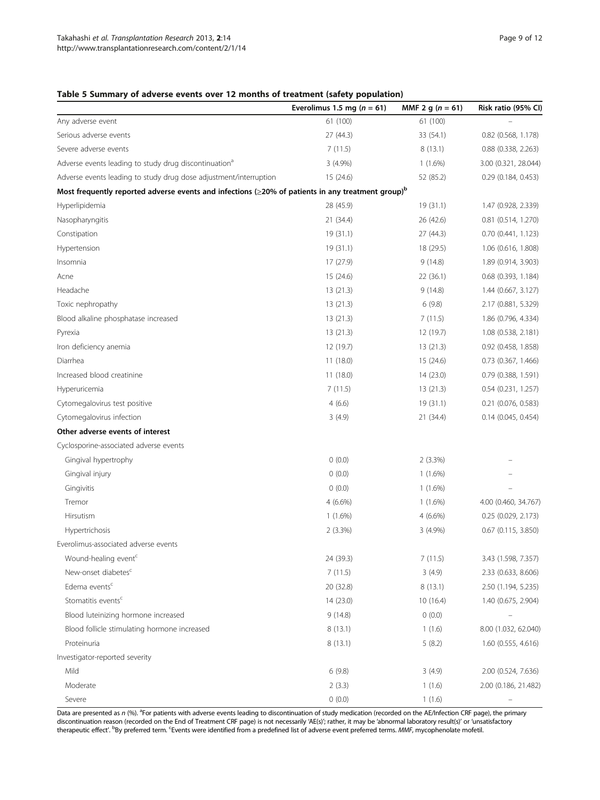## <span id="page-8-0"></span>Table 5 Summary of adverse events over 12 months of treatment (safety population)

|                                                                                                                      | Everolimus 1.5 mg ( $n = 61$ ) | MMF 2 g $(n = 61)$ | Risk ratio (95% CI)   |
|----------------------------------------------------------------------------------------------------------------------|--------------------------------|--------------------|-----------------------|
| Any adverse event                                                                                                    | 61 (100)                       | 61 (100)           |                       |
| Serious adverse events                                                                                               | 27 (44.3)                      | 33 (54.1)          | 0.82 (0.568, 1.178)   |
| Severe adverse events                                                                                                | 7(11.5)                        | 8(13.1)            | 0.88 (0.338, 2.263)   |
| Adverse events leading to study drug discontinuation <sup>a</sup>                                                    | $3(4.9\%)$                     | $1(1.6\%)$         | 3.00 (0.321, 28.044)  |
| Adverse events leading to study drug dose adjustment/interruption                                                    | 15(24.6)                       | 52 (85.2)          | 0.29(0.184, 0.453)    |
| Most frequently reported adverse events and infections ( $\geq$ 20% of patients in any treatment group) <sup>b</sup> |                                |                    |                       |
| Hyperlipidemia                                                                                                       | 28 (45.9)                      | 19 (31.1)          | 1.47 (0.928, 2.339)   |
| Nasopharyngitis                                                                                                      | 21(34.4)                       | 26 (42.6)          | 0.81 (0.514, 1.270)   |
| Constipation                                                                                                         | 19(31.1)                       | 27 (44.3)          | 0.70 (0.441, 1.123)   |
| Hypertension                                                                                                         | 19 (31.1)                      | 18 (29.5)          | 1.06 (0.616, 1.808)   |
| Insomnia                                                                                                             | 17(27.9)                       | 9(14.8)            | 1.89 (0.914, 3.903)   |
| Acne                                                                                                                 | 15 (24.6)                      | 22 (36.1)          | 0.68 (0.393, 1.184)   |
| Headache                                                                                                             | 13(21.3)                       | 9(14.8)            | 1.44 (0.667, 3.127)   |
| Toxic nephropathy                                                                                                    | 13(21.3)                       | 6(9.8)             | 2.17 (0.881, 5.329)   |
| Blood alkaline phosphatase increased                                                                                 | 13(21.3)                       | 7(11.5)            | 1.86 (0.796, 4.334)   |
| Pyrexia                                                                                                              | 13(21.3)                       | 12 (19.7)          | 1.08 (0.538, 2.181)   |
| Iron deficiency anemia                                                                                               | 12 (19.7)                      | 13 (21.3)          | 0.92 (0.458, 1.858)   |
| Diarrhea                                                                                                             | 11(18.0)                       | 15 (24.6)          | 0.73 (0.367, 1.466)   |
| Increased blood creatinine                                                                                           | 11(18.0)                       | 14 (23.0)          | 0.79 (0.388, 1.591)   |
| Hyperuricemia                                                                                                        | 7(11.5)                        | 13(21.3)           | $0.54$ (0.231, 1.257) |
| Cytomegalovirus test positive                                                                                        | 4(6.6)                         | 19 (31.1)          | 0.21 (0.076, 0.583)   |
| Cytomegalovirus infection                                                                                            | 3(4.9)                         | 21 (34.4)          | $0.14$ (0.045, 0.454) |
| Other adverse events of interest                                                                                     |                                |                    |                       |
| Cyclosporine-associated adverse events                                                                               |                                |                    |                       |
| Gingival hypertrophy                                                                                                 | 0(0.0)                         | 2(3.3%)            |                       |
| Gingival injury                                                                                                      | 0(0.0)                         | $1(1.6\%)$         |                       |
| Gingivitis                                                                                                           | 0(0.0)                         | $1(1.6\%)$         |                       |
| Tremor                                                                                                               | $4(6.6\%)$                     | $1(1.6\%)$         | 4.00 (0.460, 34.767)  |
| Hirsutism                                                                                                            | $1(1.6\%)$                     | $4(6.6\%)$         | 0.25 (0.029, 2.173)   |
| Hypertrichosis                                                                                                       | 2(3.3%)                        | $3(4.9\%)$         | $0.67$ (0.115, 3.850) |
| Everolimus-associated adverse events                                                                                 |                                |                    |                       |
| Wound-healing event <sup>c</sup>                                                                                     | 24 (39.3)                      | 7(11.5)            | 3.43 (1.598, 7.357)   |
| New-onset diabetes <sup>c</sup>                                                                                      | 7(11.5)                        | 3(4.9)             | 2.33 (0.633, 8.606)   |
| Edema events <sup>c</sup>                                                                                            | 20 (32.8)                      | 8(13.1)            | 2.50 (1.194, 5.235)   |
| Stomatitis events <sup>c</sup>                                                                                       | 14(23.0)                       | 10(16.4)           | 1.40 (0.675, 2.904)   |
| Blood luteinizing hormone increased                                                                                  | 9(14.8)                        | 0(0.0)             |                       |
| Blood follicle stimulating hormone increased                                                                         | 8(13.1)                        | 1(1.6)             | 8.00 (1.032, 62.040)  |
| Proteinuria                                                                                                          | 8(13.1)                        | 5(8.2)             | 1.60 (0.555, 4.616)   |
| Investigator-reported severity                                                                                       |                                |                    |                       |
| Mild                                                                                                                 | 6(9.8)                         | 3(4.9)             | 2.00 (0.524, 7.636)   |
| Moderate                                                                                                             | 2(3.3)                         | 1(1.6)             | 2.00 (0.186, 21.482)  |
| Severe                                                                                                               | 0(0.0)                         | 1(1.6)             |                       |

Data are presented as n (%). <sup>a</sup>For patients with adverse events leading to discontinuation of study medication (recorded on the AE/Infection CRF page), the primary discontinuation reason (recorded on the End of Treatment CRF page) is not necessarily 'AE(s)'; rather, it may be 'abnormal laboratory result(s)' or 'unsatisfactory therapeutic effect'. <sup>b</sup>By preferred term. <sup>c</sup>Events were identified from a predefined list of adverse event preferred terms. MMF, mycophenolate mofetil.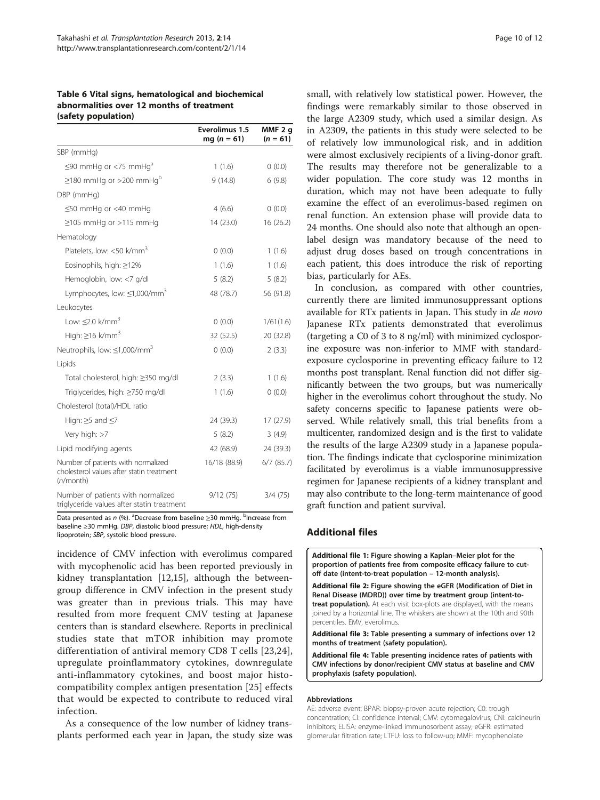<span id="page-9-0"></span>Table 6 Vital signs, hematological and biochemical abnormalities over 12 months of treatment (safety population)

|                                                                                                 | Everolimus 1.5<br>mg ( $n = 61$ ) | MMF <sub>2g</sub><br>$(n = 61)$ |
|-------------------------------------------------------------------------------------------------|-----------------------------------|---------------------------------|
| SBP (mmHg)                                                                                      |                                   |                                 |
| $\leq$ 90 mmHg or <75 mmHg <sup>a</sup>                                                         | 1(1.6)                            | 0(0.0)                          |
| $\geq$ 180 mmHg or $>$ 200 mmHg $^{\circ}$                                                      | 9(14.8)                           | 6(9.8)                          |
| DBP (mmHg)                                                                                      |                                   |                                 |
| $\leq$ 50 mmHg or <40 mmHg                                                                      | 4(6.6)                            | 0(0.0)                          |
| $\geq$ 105 mmHg or $>$ 115 mmHg                                                                 | 14 (23.0)                         | 16 (26.2)                       |
| Hematology                                                                                      |                                   |                                 |
| Platelets, low: <50 k/mm <sup>3</sup>                                                           | (0.0)                             | 1(1.6)                          |
| Eosinophils, high: ≥12%                                                                         | 1(1.6)                            | 1(1.6)                          |
| Hemoglobin, low: <7 g/dl                                                                        | 5(8.2)                            | 5(8.2)                          |
| Lymphocytes, low: ≤1,000/mm <sup>3</sup>                                                        | 48 (78.7)                         | 56 (91.8)                       |
| Leukocytes                                                                                      |                                   |                                 |
| Low: $<$ 2.0 k/mm <sup>3</sup>                                                                  | (0.0)                             | 1/61(1.6)                       |
| High: $\geq$ 16 k/mm <sup>3</sup>                                                               | 32 (52.5)                         | 20 (32.8)                       |
| Neutrophils, low: ≤1,000/mm <sup>3</sup>                                                        | (0.0)                             | 2(3.3)                          |
| Lipids                                                                                          |                                   |                                 |
| Total cholesterol, high: ≥350 mg/dl                                                             | 2(3.3)                            | 1(1.6)                          |
| Triglycerides, high: ≥750 mg/dl                                                                 | 1(1.6)                            | 0(0.0)                          |
| Cholesterol (total)/HDL ratio                                                                   |                                   |                                 |
| High: $\geq$ 5 and $\leq$ 7                                                                     | 24 (39.3)                         | 17(27.9)                        |
| Very high: >7                                                                                   | 5(8.2)                            | 3(4.9)                          |
| Lipid modifying agents                                                                          | 42 (68.9)                         | 24 (39.3)                       |
| Number of patients with normalized<br>cholesterol values after statin treatment<br>$(n/m$ onth) | 16/18 (88.9)                      | $6/7$ (85.7)                    |
| Number of patients with normalized                                                              | 9/12(75)                          | 3/4(75)                         |

triglyceride values after statin treatment

Data presented as *n* (%). <sup>a</sup>Decrease from baseline ≥30 mmHg. <sup>b</sup>Increase from baseline ≥30 mmHg. DBP, diastolic blood pressure; HDL, high-density lipoprotein; SBP, systolic blood pressure.

incidence of CMV infection with everolimus compared with mycophenolic acid has been reported previously in kidney transplantation [\[12,15\]](#page-10-0), although the betweengroup difference in CMV infection in the present study was greater than in previous trials. This may have resulted from more frequent CMV testing at Japanese centers than is standard elsewhere. Reports in preclinical studies state that mTOR inhibition may promote differentiation of antiviral memory CD8 T cells [\[23,24](#page-11-0)], upregulate proinflammatory cytokines, downregulate anti-inflammatory cytokines, and boost major histocompatibility complex antigen presentation [[25](#page-11-0)] effects that would be expected to contribute to reduced viral infection.

As a consequence of the low number of kidney transplants performed each year in Japan, the study size was small, with relatively low statistical power. However, the findings were remarkably similar to those observed in the large A2309 study, which used a similar design. As in A2309, the patients in this study were selected to be of relatively low immunological risk, and in addition were almost exclusively recipients of a living-donor graft. The results may therefore not be generalizable to a wider population. The core study was 12 months in duration, which may not have been adequate to fully examine the effect of an everolimus-based regimen on renal function. An extension phase will provide data to 24 months. One should also note that although an openlabel design was mandatory because of the need to adjust drug doses based on trough concentrations in each patient, this does introduce the risk of reporting bias, particularly for AEs.

In conclusion, as compared with other countries, currently there are limited immunosuppressant options available for RTx patients in Japan. This study in de novo Japanese RTx patients demonstrated that everolimus (targeting a C0 of 3 to 8 ng/ml) with minimized cyclosporine exposure was non-inferior to MMF with standardexposure cyclosporine in preventing efficacy failure to 12 months post transplant. Renal function did not differ significantly between the two groups, but was numerically higher in the everolimus cohort throughout the study. No safety concerns specific to Japanese patients were observed. While relatively small, this trial benefits from a multicenter, randomized design and is the first to validate the results of the large A2309 study in a Japanese population. The findings indicate that cyclosporine minimization facilitated by everolimus is a viable immunosuppressive regimen for Japanese recipients of a kidney transplant and may also contribute to the long-term maintenance of good graft function and patient survival.

## Additional files

[Additional file 1:](http://www.biomedcentral.com/content/supplementary/2047-1440-2-14-S1.eps) Figure showing a Kaplan–Meier plot for the proportion of patients free from composite efficacy failure to cutoff date (intent-to-treat population – 12-month analysis).

[Additional file 2:](http://www.biomedcentral.com/content/supplementary/2047-1440-2-14-S2.eps) Figure showing the eGFR (Modification of Diet in Renal Disease (MDRD)) over time by treatment group (intent-totreat population). At each visit box-plots are displayed, with the means joined by a horizontal line. The whiskers are shown at the 10th and 90th percentiles. EMV, everolimus.

[Additional file 3:](http://www.biomedcentral.com/content/supplementary/2047-1440-2-14-S3.doc) Table presenting a summary of infections over 12 months of treatment (safety population).

[Additional file 4:](http://www.biomedcentral.com/content/supplementary/2047-1440-2-14-S4.doc) Table presenting incidence rates of patients with CMV infections by donor/recipient CMV status at baseline and CMV prophylaxis (safety population).

#### Abbreviations

AE: adverse event; BPAR: biopsy-proven acute rejection; C0: trough concentration; CI: confidence interval; CMV: cytomegalovirus; CNI: calcineurin inhibitors; ELISA: enzyme-linked immunosorbent assay; eGFR: estimated glomerular filtration rate; LTFU: loss to follow-up; MMF: mycophenolate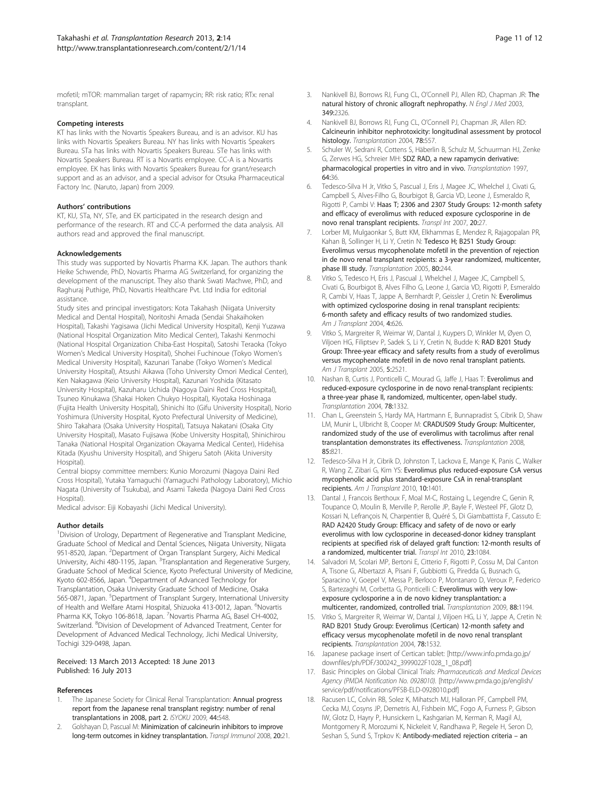<span id="page-10-0"></span>mofetil; mTOR: mammalian target of rapamycin; RR: risk ratio; RTx: renal transplant.

#### Competing interests

KT has links with the Novartis Speakers Bureau, and is an advisor. KU has links with Novartis Speakers Bureau. NY has links with Novartis Speakers Bureau. STa has links with Novartis Speakers Bureau. STe has links with Novartis Speakers Bureau. RT is a Novartis employee. CC-A is a Novartis employee. EK has links with Novartis Speakers Bureau for grant/research support and as an advisor, and a special advisor for Otsuka Pharmaceutical Factory Inc. (Naruto, Japan) from 2009.

#### Authors' contributions

KT, KU, STa, NY, STe, and EK participated in the research design and performance of the research. RT and CC-A performed the data analysis. All authors read and approved the final manuscript.

#### Acknowledgements

This study was supported by Novartis Pharma K.K. Japan. The authors thank Heike Schwende, PhD, Novartis Pharma AG Switzerland, for organizing the development of the manuscript. They also thank Swati Machwe, PhD, and Raghuraj Puthige, PhD, Novartis Healthcare Pvt. Ltd India for editorial assistance.

Study sites and principal investigators: Kota Takahash (Niigata University Medical and Dental Hospital), Noritoshi Amada (Sendai Shakaihoken Hospital), Takashi Yagisawa (Jichi Medical University Hospital), Kenji Yuzawa (National Hospital Organization Mito Medical Center), Takashi Kenmochi (National Hospital Organization Chiba-East Hospital), Satoshi Teraoka (Tokyo Women's Medical University Hospital), Shohei Fuchinoue (Tokyo Women's Medical University Hospital), Kazunari Tanabe (Tokyo Women's Medical University Hospital), Atsushi Aikawa (Toho University Omori Medical Center), Ken Nakagawa (Keio University Hospital), Kazunari Yoshida (Kitasato University Hospital), Kazuharu Uchida (Nagoya Daini Red Cross Hospital), Tsuneo Kinukawa (Shakai Hoken Chukyo Hospital), Kiyotaka Hoshinaga (Fujita Health University Hospital), Shinichi Ito (Gifu University Hospital), Norio Yoshimura (University Hospital, Kyoto Prefectural University of Medicine), Shiro Takahara (Osaka University Hospital), Tatsuya Nakatani (Osaka City University Hospital), Masato Fujisawa (Kobe University Hospital), Shinichirou Tanaka (National Hospital Organization Okayama Medical Center), Hidehisa Kitada (Kyushu University Hospital), and Shigeru Satoh (Akita University Hospital).

Central biopsy committee members: Kunio Morozumi (Nagoya Daini Red Cross Hospital), Yutaka Yamaguchi (Yamaguchi Pathology Laboratory), Michio Nagata (University of Tsukuba), and Asami Takeda (Nagoya Daini Red Cross Hospital).

Medical advisor: Eiji Kobayashi (Jichi Medical University).

#### Author details

<sup>1</sup> Division of Urology, Department of Regenerative and Transplant Medicine, Graduate School of Medical and Dental Sciences, Niigata University, Niigata 951-8520, Japan. <sup>2</sup>Department of Organ Transplant Surgery, Aichi Medical University, Aichi 480-1195, Japan. <sup>3</sup>Transplantation and Regenerative Surgery, Graduate School of Medical Science, Kyoto Prefectural University of Medicine, Kyoto 602-8566, Japan. <sup>4</sup>Department of Advanced Technology for Transplantation, Osaka University Graduate School of Medicine, Osaka 565-0871, Japan. <sup>5</sup>Department of Transplant Surgery, International University of Health and Welfare Atami Hospital, Shizuoka 413-0012, Japan. <sup>6</sup>Novartis Pharma K.K, Tokyo 106-8618, Japan. <sup>7</sup>Novartis Pharma AG, Basel CH-4002, Switzerland. <sup>8</sup>Division of Development of Advanced Treatment, Center for Development of Advanced Medical Technology, Jichi Medical University, Tochigi 329-0498, Japan.

#### Received: 13 March 2013 Accepted: 18 June 2013 Published: 16 July 2013

#### References

- 1. The Japanese Society for Clinical Renal Transplantation: Annual progress report from the Japanese renal transplant registry: number of renal transplantations in 2008, part 2. ISYOKU 2009, 44:548.
- 2. Golshayan D, Pascual M: Minimization of calcineurin inhibitors to improve long-term outcomes in kidney transplantation. Transpl Immunol 2008, 20:21.
- Nankivell BJ, Borrows RJ, Fung CL, O'Connell PJ, Allen RD, Chapman JR: The natural history of chronic allograft nephropathy. N Engl J Med 2003, 349:2326.
- 4. Nankivell BJ, Borrows RJ, Fung CL, O'Connell PJ, Chapman JR, Allen RD: Calcineurin inhibitor nephrotoxicity: longitudinal assessment by protocol histology. Transplantation 2004, 78:557.
- 5. Schuler W, Sedrani R, Cottens S, Häberlin B, Schulz M, Schuurman HJ, Zenke G, Zerwes HG, Schreier MH: SDZ RAD, a new rapamycin derivative: pharmacological properties in vitro and in vivo. Transplantation 1997, 64:36.
- Tedesco-Silva H Jr, Vitko S, Pascual J, Eris J, Magee JC, Whelchel J, Civati G, Campbell S, Alves-Filho G, Bourbigot B, Garcia VD, Leone J, Esmeraldo R, Rigotti P, Cambi V: Haas T; 2306 and 2307 Study Groups: 12-month safety and efficacy of everolimus with reduced exposure cyclosporine in de novo renal transplant recipients. Transpl Int 2007, 20:27.
- 7. Lorber MI, Mulgaonkar S, Butt KM, Elkhammas E, Mendez R, Rajagopalan PR, Kahan B, Sollinger H, Li Y, Cretin N: Tedesco H; B251 Study Group: Everolimus versus mycophenolate mofetil in the prevention of rejection in de novo renal transplant recipients: a 3-year randomized, multicenter, phase III study. Transplantation 2005, 80:244.
- 8. Vitko S, Tedesco H, Eris J, Pascual J, Whelchel J, Magee JC, Campbell S, Civati G, Bourbigot B, Alves Filho G, Leone J, Garcia VD, Rigotti P, Esmeraldo R, Cambi V, Haas T, Jappe A, Bernhardt P, Geissler J, Cretin N: Everolimus with optimized cyclosporine dosing in renal transplant recipients: 6-month safety and efficacy results of two randomized studies. Am J Transplant 2004, 4:626.
- 9. Vitko S, Margreiter R, Weimar W, Dantal J, Kuypers D, Winkler M, Øyen O, Viljoen HG, Filiptsev P, Sadek S, Li Y, Cretin N, Budde K: RAD B201 Study Group: Three-year efficacy and safety results from a study of everolimus versus mycophenolate mofetil in de novo renal transplant patients. Am J Transplant 2005, 5:2521.
- 10. Nashan B, Curtis J, Ponticelli C, Mourad G, Jaffe J, Haas T: Everolimus and reduced-exposure cyclosporine in de novo renal-transplant recipients: a three-year phase II, randomized, multicenter, open-label study. Transplantation 2004, 78:1332.
- 11. Chan L, Greenstein S, Hardy MA, Hartmann E, Bunnapradist S, Cibrik D, Shaw LM, Munir L, Ulbricht B, Cooper M: CRADUS09 Study Group: Multicenter, randomized study of the use of everolimus with tacrolimus after renal transplantation demonstrates its effectiveness. Transplantation 2008, 85:821.
- 12. Tedesco-Silva H Jr, Cibrik D, Johnston T, Lackova E, Mange K, Panis C, Walker R, Wang Z, Zibari G, Kim YS: Everolimus plus reduced-exposure CsA versus mycophenolic acid plus standard-exposure CsA in renal-transplant recipients. Am J Transplant 2010, 10:1401.
- 13. Dantal J, Francois Berthoux F, Moal M-C, Rostaing L, Legendre C, Genin R, Toupance O, Moulin B, Merville P, Rerolle JP, Bayle F, Westeel PF, Glotz D, Kossari N, Lefrançois N, Charpentier B, Quéré S, Di Giambattista F, Cassuto E: RAD A2420 Study Group: Efficacy and safety of de novo or early everolimus with low cyclosporine in deceased-donor kidney transplant recipients at specified risk of delayed graft function: 12-month results of a randomized, multicenter trial. Transpl Int 2010, 23:1084.
- 14. Salvadori M, Scolari MP, Bertoni E, Citterio F, Rigotti P, Cossu M, Dal Canton A, Tisone G, Albertazzi A, Pisani F, Gubbiotti G, Piredda G, Busnach G, Sparacino V, Goepel V, Messa P, Berloco P, Montanaro D, Veroux P, Federico S, Bartezaghi M, Corbetta G, Ponticelli C: Everolimus with very lowexposure cyclosporine a in de novo kidney transplantation: a multicenter, randomized, controlled trial. Transplantation 2009, 88:1194.
- 15. Vitko S, Margreiter R, Weimar W, Dantal J, Viljoen HG, Li Y, Jappe A, Cretin N: RAD B201 Study Group: Everolimus (Certican) 12-month safety and efficacy versus mycophenolate mofetil in de novo renal transplant recipients. Transplantation 2004, 78:1532.
- 16. Japanese package insert of Certican tablet: [[http://www.info.pmda.go.jp/](http://www.info.pmda.go.jp/downfiles/ph/PDF/300242_3999022F1028_1_08.pdf) [downfiles/ph/PDF/300242\\_3999022F1028\\_1\\_08.pdf](http://www.info.pmda.go.jp/downfiles/ph/PDF/300242_3999022F1028_1_08.pdf)]
- 17. Basic Principles on Global Clinical Trials: Pharmaceuticals and Medical Devices Agency (PMDA Notification No. 0928010). [\[http://www.pmda.go.jp/english/](http://www.pmda.go.jp/english/service/pdf/notifications/PFSB-ELD-0928010.pdf) [service/pdf/notifications/PFSB-ELD-0928010.pdf](http://www.pmda.go.jp/english/service/pdf/notifications/PFSB-ELD-0928010.pdf)]
- 18. Racusen LC, Colvin RB, Solez K, Mihatsch MJ, Halloran PF, Campbell PM, Cecka MJ, Cosyns JP, Demetris AJ, Fishbein MC, Fogo A, Furness P, Gibson IW, Glotz D, Hayry P, Hunsickern L, Kashgarian M, Kerman R, Magil AJ, Montgomery R, Morozumi K, Nickeleit V, Randhawa P, Regele H, Seron D, Seshan S, Sund S, Trpkov K: Antibody-mediated rejection criteria - an